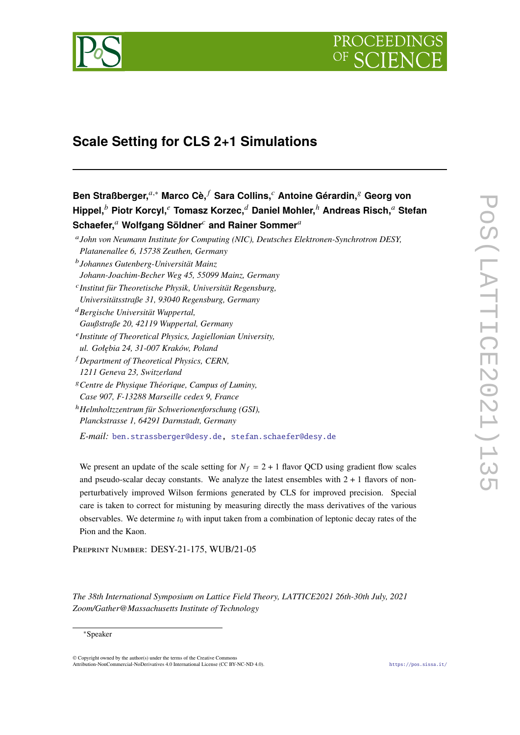

# **Scale Setting for CLS 2+1 Simulations**

**Ben Straßberger,**<sup>a,∗</sup> Marco Cè,<sup>*f*</sup> Sara Collins,<sup>*c*</sup> Antoine Gérardin,<sup>8</sup> Georg von **Hippel, Piotr Korcyl, Tomasz Korzec, Daniel Mohler,**<sup>ℎ</sup> **Andreas Risch, Stefan Schaefer, Wolfgang Söldner and Rainer Sommer**

 *John von Neumann Institute for Computing (NIC), Deutsches Elektronen-Synchrotron DESY, Platanenallee 6, 15738 Zeuthen, Germany*

- *Johannes Gutenberg-Universität Mainz Johann-Joachim-Becher Weg 45, 55099 Mainz, Germany Institut für Theoretische Physik, Universität Regensburg,*
- *Universitätsstraße 31, 93040 Regensburg, Germany Bergische Universität Wuppertal, Gaußstraße 20, 42119 Wuppertal, Germany*
- *Institute of Theoretical Physics, Jagiellonian University, ul. Gołębia 24, 31-007 Kraków, Poland*
- *Department of Theoretical Physics, CERN, 1211 Geneva 23, Switzerland*
- *Centre de Physique Théorique, Campus of Luminy, Case 907, F-13288 Marseille cedex 9, France*
- <sup>ℎ</sup>*Helmholtzzentrum für Schwerionenforschung (GSI), Planckstrasse 1, 64291 Darmstadt, Germany*

*E-mail:* [ben.strassberger@desy.de,](mailto:ben.strassberger@desy.de) [stefan.schaefer@desy.de](mailto:stefan.schaefer@desy.de)

We present an update of the scale setting for  $N_f = 2 + 1$  flavor QCD using gradient flow scales and pseudo-scalar decay constants. We analyze the latest ensembles with  $2 + 1$  flavors of nonperturbatively improved Wilson fermions generated by CLS for improved precision. Special care is taken to correct for mistuning by measuring directly the mass derivatives of the various observables. We determine  $t_0$  with input taken from a combination of leptonic decay rates of the Pion and the Kaon.

Preprint Number: DESY-21-175, WUB/21-05

*The 38th International Symposium on Lattice Field Theory, LATTICE2021 26th-30th July, 2021 Zoom/Gather@Massachusetts Institute of Technology*

## ∗Speaker

© Copyright owned by the author(s) under the terms of the Creative Commons Attribution-NonCommercial-NoDerivatives 4.0 International License (CC BY-NC-ND 4.0). <https://pos.sissa.it/>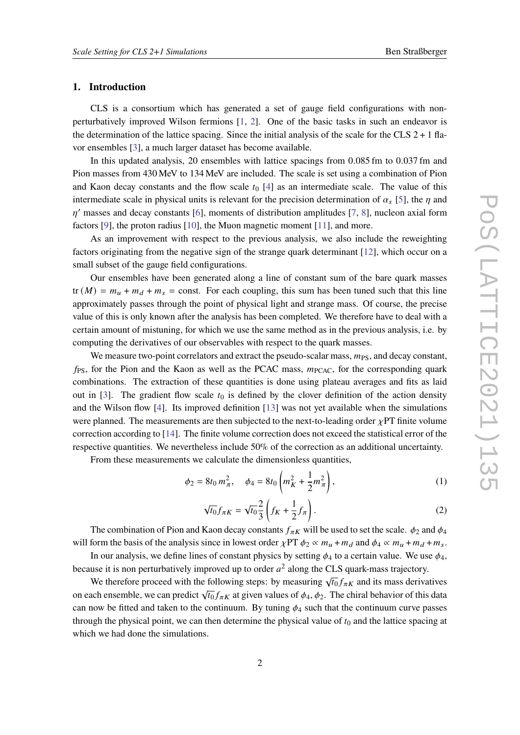# **1. Introduction**

CLS is a consortium which has generated a set of gauge field configurations with nonperturbatively improved Wilson fermions [\[1,](#page-7-0) [2\]](#page-7-1). One of the basic tasks in such an endeavor is the determination of the lattice spacing. Since the initial analysis of the scale for the CLS  $2 + 1$  flavor ensembles [\[3\]](#page-7-2), a much larger dataset has become available.

In this updated analysis, 20 ensembles with lattice spacings from 0.085 fm to 0.037 fm and Pion masses from 430 MeV to 134 MeV are included. The scale is set using a combination of Pion and Kaon decay constants and the flow scale  $t_0$  [\[4\]](#page-7-3) as an intermediate scale. The value of this intermediate scale in physical units is relevant for the precision determination of  $\alpha_s$  [\[5\]](#page-7-4), the  $\eta$  and  $\eta'$  masses and decay constants [\[6\]](#page-7-5), moments of distribution amplitudes [\[7,](#page-8-0) [8\]](#page-8-1), nucleon axial form factors [\[9\]](#page-8-2), the proton radius [\[10\]](#page-8-3), the Muon magnetic moment [\[11\]](#page-8-4), and more.

As an improvement with respect to the previous analysis, we also include the reweighting factors originating from the negative sign of the strange quark determinant [\[12\]](#page-8-5), which occur on a small subset of the gauge field configurations.

Our ensembles have been generated along a line of constant sum of the bare quark masses  $tr(M) = m<sub>u</sub> + m<sub>d</sub> + m<sub>s</sub> = const.$  For each coupling, this sum has been tuned such that this line approximately passes through the point of physical light and strange mass. Of course, the precise value of this is only known after the analysis has been completed. We therefore have to deal with a certain amount of mistuning, for which we use the same method as in the previous analysis, i.e. by computing the derivatives of our observables with respect to the quark masses.

We measure two-point correlators and extract the pseudo-scalar mass,  $m_{PS}$ , and decay constant,  $f_{PS}$ , for the Pion and the Kaon as well as the PCAC mass,  $m_{PCAC}$ , for the corresponding quark combinations. The extraction of these quantities is done using plateau averages and fits as laid out in [\[3\]](#page-7-2). The gradient flow scale  $t_0$  is defined by the clover definition of the action density and the Wilson flow [\[4\]](#page-7-3). Its improved definition [\[13\]](#page-8-6) was not yet available when the simulations were planned. The measurements are then subjected to the next-to-leading order  $\chi PT$  finite volume correction according to [\[14\]](#page-8-7). The finite volume correction does not exceed the statistical error of the respective quantities. We nevertheless include 50% of the correction as an additional uncertainty.

From these measurements we calculate the dimensionless quantities,

$$
\phi_2 = 8t_0 m_\pi^2, \quad \phi_4 = 8t_0 \left( m_K^2 + \frac{1}{2} m_\pi^2 \right), \tag{1}
$$

$$
\sqrt{t_0} f_{\pi K} = \sqrt{t_0} \frac{2}{3} \left( f_K + \frac{1}{2} f_{\pi} \right). \tag{2}
$$

The combination of Pion and Kaon decay constants  $f_{\pi K}$  will be used to set the scale.  $\phi_2$  and  $\phi_4$ will form the basis of the analysis since in lowest order  $\chi PT \phi_2 \propto m_u + m_d$  and  $\phi_4 \propto m_u + m_d + m_s$ .

In our analysis, we define lines of constant physics by setting  $\phi_4$  to a certain value. We use  $\phi_4$ , because it is non perturbatively improved up to order  $a^2$  along the CLS quark-mass trajectory.

We therefore proceed with the following steps: by measuring  $\sqrt{t_0} f_{\pi K}$  and its mass derivatives on each ensemble, we can predict  $\sqrt{t_0} f_{\pi K}$  at given values of  $\phi_4$ ,  $\phi_2$ . The chiral behavior of this data can now be fitted and taken to the continuum. By tuning  $\phi_4$  such that the continuum curve passes through the physical point, we can then determine the physical value of  $t_0$  and the lattice spacing at which we had done the simulations.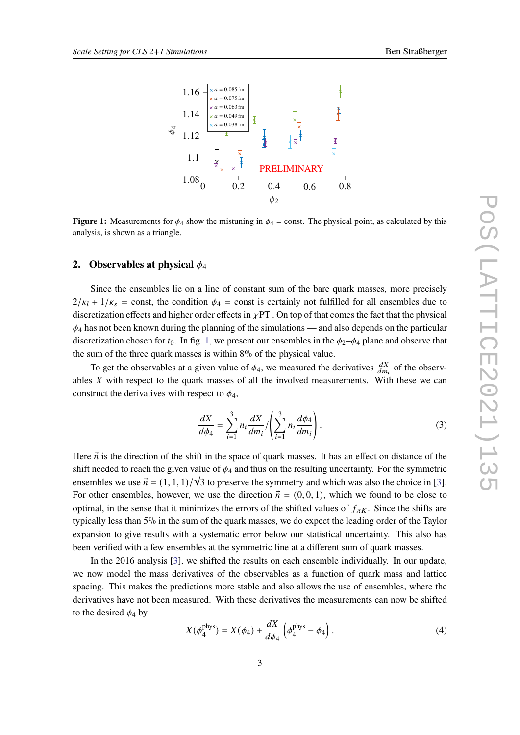<span id="page-2-0"></span>

**Figure 1:** Measurements for  $\phi_4$  show the mistuning in  $\phi_4$  = const. The physical point, as calculated by this analysis, is shown as a triangle.

## **2.** Observables at physical  $\phi_4$

Since the ensembles lie on a line of constant sum of the bare quark masses, more precisely  $2/\kappa_1 + 1/\kappa_s$  = const, the condition  $\phi_4$  = const is certainly not fulfilled for all ensembles due to discretization effects and higher order effects in  $\chi$ PT. On top of that comes the fact that the physical  $\phi_4$  has not been known during the planning of the simulations — and also depends on the particular discretization chosen for  $t_0$ . In fig. [1,](#page-2-0) we present our ensembles in the  $\phi_2-\phi_4$  plane and observe that the sum of the three quark masses is within 8% of the physical value.

To get the observables at a given value of  $\phi_4$ , we measured the derivatives  $\frac{dX}{dm_i}$  of the observables  $X$  with respect to the quark masses of all the involved measurements. With these we can construct the derivatives with respect to  $\phi_4$ ,

$$
\frac{dX}{d\phi_4} = \sum_{i=1}^3 n_i \frac{dX}{dm_i} / \left( \sum_{i=1}^3 n_i \frac{d\phi_4}{dm_i} \right).
$$
 (3)

Here  $\vec{n}$  is the direction of the shift in the space of quark masses. It has an effect on distance of the shift needed to reach the given value of  $\phi_4$  and thus on the resulting uncertainty. For the symmetric ensembles we use  $\vec{n} = (1, 1, 1)/\sqrt{3}$  to preserve the symmetry and which was also the choice in [\[3\]](#page-7-2). For other ensembles, however, we use the direction  $\vec{n} = (0, 0, 1)$ , which we found to be close to optimal, in the sense that it minimizes the errors of the shifted values of  $f_{\pi K}$ . Since the shifts are typically less than 5% in the sum of the quark masses, we do expect the leading order of the Taylor expansion to give results with a systematic error below our statistical uncertainty. This also has been verified with a few ensembles at the symmetric line at a different sum of quark masses.

In the 2016 analysis [\[3\]](#page-7-2), we shifted the results on each ensemble individually. In our update, we now model the mass derivatives of the observables as a function of quark mass and lattice spacing. This makes the predictions more stable and also allows the use of ensembles, where the derivatives have not been measured. With these derivatives the measurements can now be shifted to the desired  $\phi_4$  by

$$
X(\phi_4^{\text{phys}}) = X(\phi_4) + \frac{dX}{d\phi_4} \left(\phi_4^{\text{phys}} - \phi_4\right). \tag{4}
$$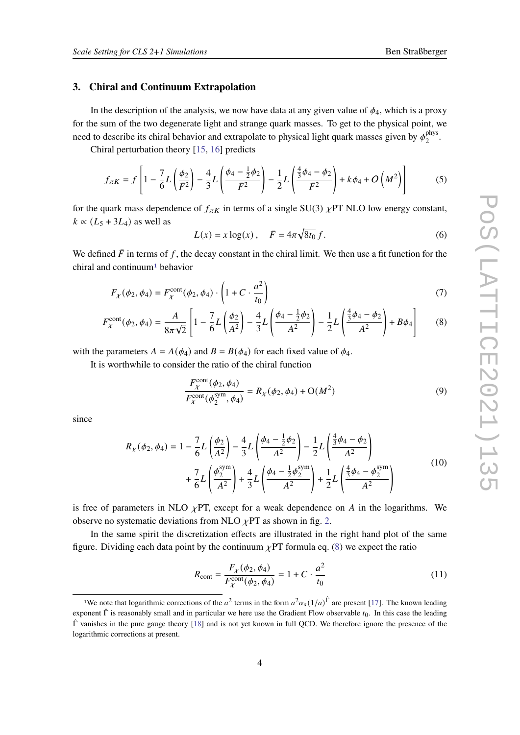#### **3. Chiral and Continuum Extrapolation**

In the description of the analysis, we now have data at any given value of  $\phi_4$ , which is a proxy for the sum of the two degenerate light and strange quark masses. To get to the physical point, we need to describe its chiral behavior and extrapolate to physical light quark masses given by  $\phi_2^{\text{phys}}$ pnys<br>2

Chiral perturbation theory [\[15,](#page-8-8) [16\]](#page-8-9) predicts

$$
f_{\pi K} = f \left[ 1 - \frac{7}{6} L \left( \frac{\phi_2}{\bar{F}^2} \right) - \frac{4}{3} L \left( \frac{\phi_4 - \frac{1}{2} \phi_2}{\bar{F}^2} \right) - \frac{1}{2} L \left( \frac{\frac{4}{3} \phi_4 - \phi_2}{\bar{F}^2} \right) + k \phi_4 + O \left( M^2 \right) \right] \tag{5}
$$

for the quark mass dependence of  $f_{\pi K}$  in terms of a single SU(3)  $\chi$ PT NLO low energy constant,  $k \propto (L_5 + 3L_4)$  as well as

<span id="page-3-2"></span><span id="page-3-1"></span>
$$
L(x) = x \log(x), \quad \bar{F} = 4\pi \sqrt{8t_0} f.
$$
 (6)

We defined  $\bar{F}$  in terms of f, the decay constant in the chiral limit. We then use a fit function for the chiral and continuum<sup>[1](#page-3-0)</sup> behavior

$$
F_{\chi}(\phi_2, \phi_4) = F_{\chi}^{\text{cont}}(\phi_2, \phi_4) \cdot \left(1 + C \cdot \frac{a^2}{t_0}\right)
$$
 (7)

$$
F_{\chi}^{\text{cont}}(\phi_2, \phi_4) = \frac{A}{8\pi\sqrt{2}} \left[ 1 - \frac{7}{6} L\left(\frac{\phi_2}{A^2}\right) - \frac{4}{3} L\left(\frac{\phi_4 - \frac{1}{2}\phi_2}{A^2}\right) - \frac{1}{2} L\left(\frac{\frac{4}{3}\phi_4 - \phi_2}{A^2}\right) + B\phi_4 \right] \tag{8}
$$

with the parameters  $A = A(\phi_4)$  and  $B = B(\phi_4)$  for each fixed value of  $\phi_4$ .

It is worthwhile to consider the ratio of the chiral function

$$
\frac{F_{\chi}^{\text{cont}}(\phi_2, \phi_4)}{F_{\chi}^{\text{cont}}(\phi_2^{\text{sym}}, \phi_4)} = R_{\chi}(\phi_2, \phi_4) + \mathcal{O}(M^2)
$$
\n(9)

since

$$
R_{\chi}(\phi_2, \phi_4) = 1 - \frac{7}{6}L\left(\frac{\phi_2}{A^2}\right) - \frac{4}{3}L\left(\frac{\phi_4 - \frac{1}{2}\phi_2}{A^2}\right) - \frac{1}{2}L\left(\frac{\frac{4}{3}\phi_4 - \phi_2}{A^2}\right) + \frac{7}{6}L\left(\frac{\phi_2^{\text{sym}}}{A^2}\right) + \frac{4}{3}L\left(\frac{\phi_4 - \frac{1}{2}\phi_2^{\text{sym}}}{A^2}\right) + \frac{1}{2}L\left(\frac{\frac{4}{3}\phi_4 - \phi_2^{\text{sym}}}{A^2}\right)
$$
(10)

is free of parameters in NLO  $\chi$ PT, except for a weak dependence on A in the logarithms. We observe no systematic deviations from NLO  $\chi$ PT as shown in fig. [2.](#page-4-0)

In the same spirit the discretization effects are illustrated in the right hand plot of the same figure. Dividing each data point by the continuum  $\chi$ PT formula eq. [\(8\)](#page-3-1) we expect the ratio

$$
R_{\text{cont}} = \frac{F_X(\phi_2, \phi_4)}{F_X^{\text{cont}}(\phi_2, \phi_4)} = 1 + C \cdot \frac{a^2}{t_0}
$$
 (11)

<span id="page-3-0"></span><sup>&</sup>lt;sup>1</sup>We note that logarithmic corrections of the  $a^2$  terms in the form  $a^2\alpha_s(1/a)$ <sup> $\hat{\Gamma}$ </sup> are present [\[17\]](#page-8-10). The known leading exponent  $\hat{\Gamma}$  is reasonably small and in particular we here use the Gradient Flow observable  $t_0$ . In this case the leading  $\hat{\Gamma}$  vanishes in the pure gauge theory [\[18\]](#page-8-11) and is not yet known in full QCD. We therefore ignore the presence of the logarithmic corrections at present.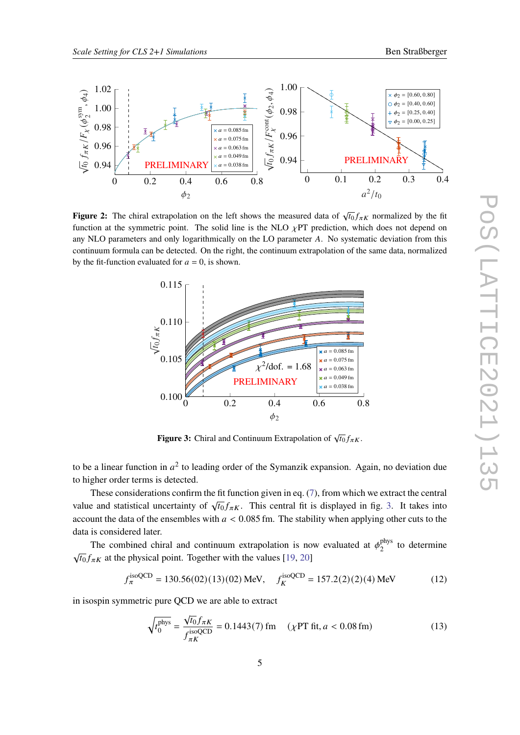<span id="page-4-0"></span>

<span id="page-4-1"></span>**Figure 2:** The chiral extrapolation on the left shows the measured data of  $\sqrt{t_0} f_{\pi K}$  normalized by the fit function at the symmetric point. The solid line is the NLO  $\chi$ PT prediction, which does not depend on any NLO parameters and only logarithmically on the LO parameter A. No systematic deviation from this continuum formula can be detected. On the right, the continuum extrapolation of the same data, normalized by the fit-function evaluated for  $a = 0$ , is shown.



**Figure 3:** Chiral and Continuum Extrapolation of  $\sqrt{t_0} f_{\pi K}$ .

to be a linear function in  $a^2$  to leading order of the Symanzik expansion. Again, no deviation due to higher order terms is detected.

These considerations confirm the fit function given in eq. [\(7\)](#page-3-2), from which we extract the central value and statistical uncertainty of  $\sqrt{t_0} f_{\pi K}$ . This central fit is displayed in fig. [3.](#page-4-1) It takes into account the data of the ensembles with  $a < 0.085$  fm. The stability when applying other cuts to the data is considered later.

The combined chiral and continuum extrapolation is now evaluated at  $\phi_2^{\text{phys}}$  $_2^{\text{phys}}$  to determine  $\sqrt{t_0} f_{\pi K}$  at the physical point. Together with the values [\[19,](#page-8-12) [20\]](#page-8-13)

<span id="page-4-2"></span>
$$
f_{\pi}^{\text{isoQCD}} = 130.56(02)(13)(02) \text{ MeV}, \quad f_{K}^{\text{isoQCD}} = 157.2(2)(2)(4) \text{ MeV}
$$
 (12)

in isospin symmetric pure QCD we are able to extract

$$
\sqrt{t_0^{\text{phys}}} = \frac{\sqrt{t_0} f_{\pi K}}{f_{\pi K}^{\text{isoQCD}}} = 0.1443(7) \text{ fm} \quad (\chi \text{PT fit}, a < 0.08 \text{ fm}) \tag{13}
$$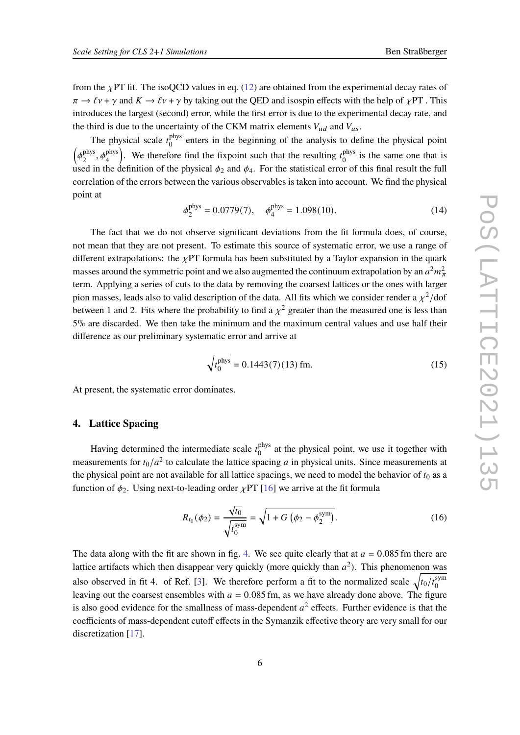from the  $\chi$ PT fit. The isoQCD values in eq. [\(12\)](#page-4-2) are obtained from the experimental decay rates of  $\pi \to \ell \nu + \gamma$  and  $K \to \ell \nu + \gamma$  by taking out the QED and isospin effects with the help of  $\chi PT$ . This introduces the largest (second) error, while the first error is due to the experimental decay rate, and the third is due to the uncertainty of the CKM matrix elements  $V_{ud}$  and  $V_{us}$ .

The physical scale  $t_0^{\text{phys}}$  $_{0}^{\text{phys}}$  enters in the beginning of the analysis to define the physical point  $\int$   $\phi_2^{\text{phys}}$ phys<sub>2</sub>,  $\phi_4^{\text{phys}}$ ). We therefore find the fixpoint such that the resulting  $t_0^{phys}$  $_0^{\text{phys}}$  is the same one that is used in the definition of the physical  $\phi_2$  and  $\phi_4$ . For the statistical error of this final result the full correlation of the errors between the various observables is taken into account. We find the physical point at

$$
\phi_2^{\text{phys}} = 0.0779(7), \quad \phi_4^{\text{phys}} = 1.098(10). \tag{14}
$$

The fact that we do not observe significant deviations from the fit formula does, of course, not mean that they are not present. To estimate this source of systematic error, we use a range of different extrapolations: the  $\chi$ PT formula has been substituted by a Taylor expansion in the quark masses around the symmetric point and we also augmented the continuum extrapolation by an  $a^2m_\pi^2$ term. Applying a series of cuts to the data by removing the coarsest lattices or the ones with larger pion masses, leads also to valid description of the data. All fits which we consider render a  $\chi^2$ /dof between 1 and 2. Fits where the probability to find a  $\chi^2$  greater than the measured one is less than 5% are discarded. We then take the minimum and the maximum central values and use half their difference as our preliminary systematic error and arrive at

<span id="page-5-0"></span>
$$
\sqrt{t_0^{\text{phys}}} = 0.1443(7)(13) \,\text{fm}.\tag{15}
$$

At present, the systematic error dominates.

# **4. Lattice Spacing**

Having determined the intermediate scale  $t_0^{\text{phys}}$  $_{0}^{\text{phys}}$  at the physical point, we use it together with measurements for  $t_0/a^2$  to calculate the lattice spacing a in physical units. Since measurements at the physical point are not available for all lattice spacings, we need to model the behavior of  $t_0$  as a function of  $\phi_2$ . Using next-to-leading order  $\chi$ PT [\[16\]](#page-8-9) we arrive at the fit formula

$$
R_{t_0}(\phi_2) = \frac{\sqrt{t_0}}{\sqrt{t_0^{\text{sym}}}} = \sqrt{1 + G\left(\phi_2 - \phi_2^{\text{sym}}\right)}.
$$
 (16)

The data along with the fit are shown in fig. [4.](#page-6-0) We see quite clearly that at  $a = 0.085$  fm there are lattice artifacts which then disappear very quickly (more quickly than  $a^2$ ). This phenomenon was also observed in fit 4. of Ref. [\[3\]](#page-7-2). We therefore perform a fit to the normalized scale  $\sqrt{t_0/t_0^{\text{sym}}}$ 0 leaving out the coarsest ensembles with  $a = 0.085$  fm, as we have already done above. The figure is also good evidence for the smallness of mass-dependent  $a^2$  effects. Further evidence is that the coefficients of mass-dependent cutoff effects in the Symanzik effective theory are very small for our discretization [\[17\]](#page-8-10).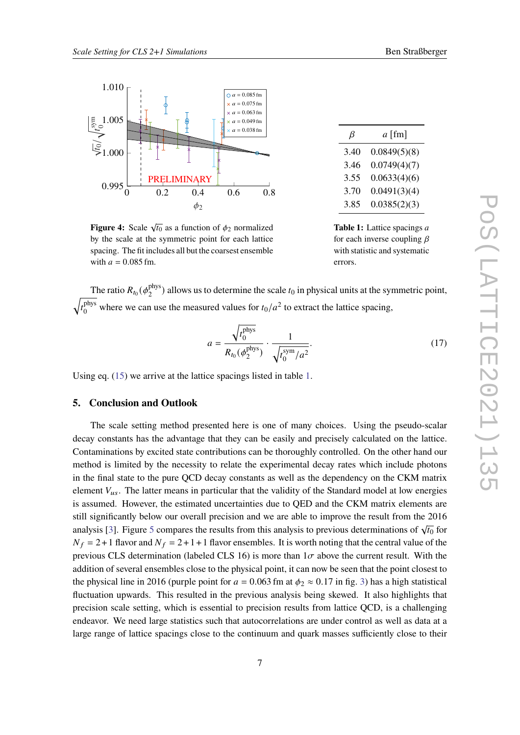<span id="page-6-0"></span>

**Figure 4:** Scale  $\sqrt{t_0}$  as a function of  $\phi_2$  normalized by the scale at the symmetric point for each lattice spacing. The fit includes all but the coarsest ensemble with  $a = 0.085$  fm.

| 3.46 | 0.0749(4)(7) |
|------|--------------|
| 3.55 | 0.0633(4)(6) |
| 3.70 | 0.0491(3)(4) |
| 3.85 | 0.0385(2)(3) |
|      |              |

**Table 1:** Lattice spacings a for each inverse coupling  $\beta$ with statistic and systematic errors.

The ratio  $R_{t_0}(\phi_2^{\text{phys}})$  $\binom{p\text{nys}}{2}$  allows us to determine the scale  $t_0$  in physical units at the symmetric point,  $^{\prime}$  $t_0^{\text{phys}}$ <sup>phys</sup> where we can use the measured values for  $t_0/a^2$  to extract the lattice spacing,

$$
a = \frac{\sqrt{t_0^{\text{phys}}}}{R_{t_0}(\phi_2^{\text{phys}})} \cdot \frac{1}{\sqrt{t_0^{\text{sym}}/a^2}}.
$$
 (17)

Using eq. [\(15\)](#page-5-0) we arrive at the lattice spacings listed in table [1.](#page-6-0)

# **5. Conclusion and Outlook**

The scale setting method presented here is one of many choices. Using the pseudo-scalar decay constants has the advantage that they can be easily and precisely calculated on the lattice. Contaminations by excited state contributions can be thoroughly controlled. On the other hand our method is limited by the necessity to relate the experimental decay rates which include photons in the final state to the pure QCD decay constants as well as the dependency on the CKM matrix element  $V_{us}$ . The latter means in particular that the validity of the Standard model at low energies is assumed. However, the estimated uncertainties due to QED and the CKM matrix elements are still significantly below our overall precision and we are able to improve the result from the 2016 analysis [\[3\]](#page-7-2). Figure [5](#page-7-6) compares the results from this analysis to previous determinations of  $\sqrt{t_0}$  for  $N_f = 2+1$  flavor and  $N_f = 2+1+1$  flavor ensembles. It is worth noting that the central value of the previous CLS determination (labeled CLS 16) is more than  $1\sigma$  above the current result. With the addition of several ensembles close to the physical point, it can now be seen that the point closest to the physical line in 2016 (purple point for  $a = 0.063$  fm at  $\phi_2 \approx 0.17$  in fig. [3\)](#page-4-1) has a high statistical fluctuation upwards. This resulted in the previous analysis being skewed. It also highlights that precision scale setting, which is essential to precision results from lattice QCD, is a challenging endeavor. We need large statistics such that autocorrelations are under control as well as data at a large range of lattice spacings close to the continuum and quark masses sufficiently close to their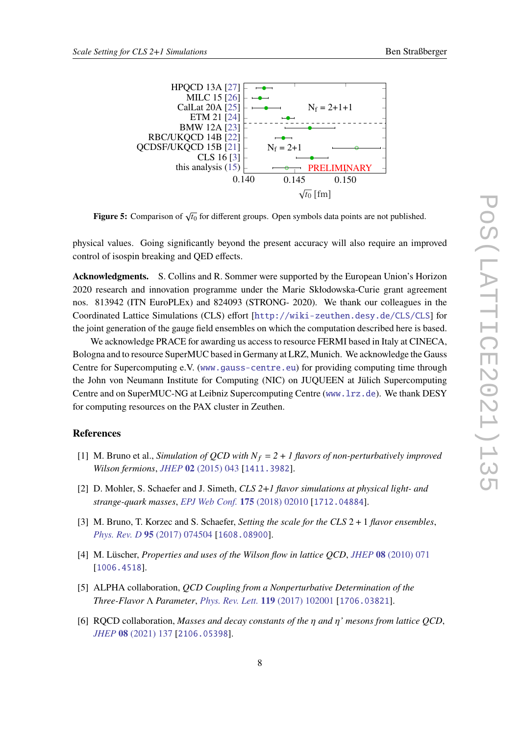

<span id="page-7-6"></span>

**Figure 5:** Comparison of  $\sqrt{t_0}$  for different groups. Open symbols data points are not published.

physical values. Going significantly beyond the present accuracy will also require an improved control of isospin breaking and QED effects.

**Acknowledgments.** S. Collins and R. Sommer were supported by the European Union's Horizon 2020 research and innovation programme under the Marie Skłodowska-Curie grant agreement nos. 813942 (ITN EuroPLEx) and 824093 (STRONG- 2020). We thank our colleagues in the Coordinated Lattice Simulations (CLS) effort [<http://wiki-zeuthen.desy.de/CLS/CLS>] for the joint generation of the gauge field ensembles on which the computation described here is based.

We acknowledge PRACE for awarding us access to resource FERMI based in Italy at CINECA, Bologna and to resource SuperMUC based in Germany at LRZ, Munich. We acknowledge the Gauss Centre for Supercomputing e.V. (<www.gauss-centre.eu>) for providing computing time through the John von Neumann Institute for Computing (NIC) on JUQUEEN at Jülich Supercomputing Centre and on SuperMUC-NG at Leibniz Supercomputing Centre (<www.lrz.de>). We thank DESY for computing resources on the PAX cluster in Zeuthen.

## **References**

- <span id="page-7-0"></span>[1] M. Bruno et al., *Simulation of QCD with*  $N_f = 2 + 1$  *flavors of non-perturbatively improved Wilson fermions*, *JHEP* **02** [\(2015\) 043](https://doi.org/10.1007/JHEP02(2015)043) [[1411.3982](https://arxiv.org/abs/1411.3982)].
- <span id="page-7-1"></span>[2] D. Mohler, S. Schaefer and J. Simeth, *CLS 2+1 flavor simulations at physical light- and strange-quark masses*, *[EPJ Web Conf.](https://doi.org/10.1051/epjconf/201817502010)* **175** (2018) 02010 [[1712.04884](https://arxiv.org/abs/1712.04884)].
- <span id="page-7-2"></span>[3] M. Bruno, T. Korzec and S. Schaefer, *Setting the scale for the CLS* 2 + 1 *flavor ensembles*, *Phys. Rev. D* **95** [\(2017\) 074504](https://doi.org/10.1103/PhysRevD.95.074504) [[1608.08900](https://arxiv.org/abs/1608.08900)].
- <span id="page-7-3"></span>[4] M. Lüscher, *Properties and uses of the Wilson flow in lattice QCD*, *JHEP* **08** [\(2010\) 071](https://doi.org/10.1007/JHEP08(2010)071) [[1006.4518](https://arxiv.org/abs/1006.4518)].
- <span id="page-7-4"></span>[5] ALPHA collaboration, *QCD Coupling from a Nonperturbative Determination of the Three-Flavor* Λ *Parameter*, *[Phys. Rev. Lett.](https://doi.org/10.1103/PhysRevLett.119.102001)* **119** (2017) 102001 [[1706.03821](https://arxiv.org/abs/1706.03821)].
- <span id="page-7-5"></span>[6] RQCD collaboration, *Masses and decay constants of the and ' mesons from lattice QCD*, *JHEP* **08** [\(2021\) 137](https://doi.org/10.1007/JHEP08(2021)137) [[2106.05398](https://arxiv.org/abs/2106.05398)].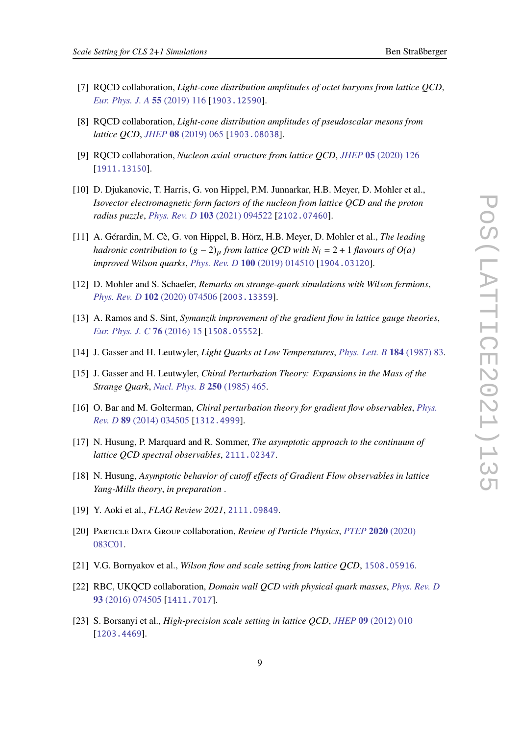- 
- <span id="page-8-0"></span>[7] RQCD collaboration, *Light-cone distribution amplitudes of octet baryons from lattice QCD*, *[Eur. Phys. J. A](https://doi.org/10.1140/epja/i2019-12803-6)* **55** (2019) 116 [[1903.12590](https://arxiv.org/abs/1903.12590)].
- <span id="page-8-1"></span>[8] RQCD collaboration, *Light-cone distribution amplitudes of pseudoscalar mesons from lattice QCD*, *JHEP* **08** [\(2019\) 065](https://doi.org/10.1007/JHEP08(2019)065) [[1903.08038](https://arxiv.org/abs/1903.08038)].
- <span id="page-8-2"></span>[9] RQCD collaboration, *Nucleon axial structure from lattice QCD*, *JHEP* **05** [\(2020\) 126](https://doi.org/10.1007/JHEP05(2020)126) [[1911.13150](https://arxiv.org/abs/1911.13150)].
- <span id="page-8-3"></span>[10] D. Djukanovic, T. Harris, G. von Hippel, P.M. Junnarkar, H.B. Meyer, D. Mohler et al., *Isovector electromagnetic form factors of the nucleon from lattice QCD and the proton radius puzzle*, *Phys. Rev. D* **103** [\(2021\) 094522](https://doi.org/10.1103/PhysRevD.103.094522) [[2102.07460](https://arxiv.org/abs/2102.07460)].
- <span id="page-8-4"></span>[11] A. Gérardin, M. Cè, G. von Hippel, B. Hörz, H.B. Meyer, D. Mohler et al., *The leading hadronic contribution to*  $(g - 2)$ <sup> $\mu$ </sup> from lattice QCD with  $N_f = 2 + 1$  flavours of  $O(a)$ *improved Wilson quarks*, *Phys. Rev. D* **100** [\(2019\) 014510](https://doi.org/10.1103/PhysRevD.100.014510) [[1904.03120](https://arxiv.org/abs/1904.03120)].
- <span id="page-8-5"></span>[12] D. Mohler and S. Schaefer, *Remarks on strange-quark simulations with Wilson fermions*, *Phys. Rev. D* **102** [\(2020\) 074506](https://doi.org/10.1103/PhysRevD.102.074506) [[2003.13359](https://arxiv.org/abs/2003.13359)].
- <span id="page-8-6"></span>[13] A. Ramos and S. Sint, *Symanzik improvement of the gradient flow in lattice gauge theories*, *[Eur. Phys. J. C](https://doi.org/10.1140/epjc/s10052-015-3831-9)* **76** (2016) 15 [[1508.05552](https://arxiv.org/abs/1508.05552)].
- <span id="page-8-7"></span>[14] J. Gasser and H. Leutwyler, *Light Quarks at Low Temperatures*, *[Phys. Lett. B](https://doi.org/10.1016/0370-2693(87)90492-8)* **184** (1987) 83.
- <span id="page-8-8"></span>[15] J. Gasser and H. Leutwyler, *Chiral Perturbation Theory: Expansions in the Mass of the Strange Quark*, *[Nucl. Phys. B](https://doi.org/10.1016/0550-3213(85)90492-4)* **250** (1985) 465.
- <span id="page-8-9"></span>[16] O. Bar and M. Golterman, *Chiral perturbation theory for gradient flow observables*, *[Phys.](https://doi.org/10.1103/PhysRevD.89.034505) Rev. D* **89** [\(2014\) 034505](https://doi.org/10.1103/PhysRevD.89.034505) [[1312.4999](https://arxiv.org/abs/1312.4999)].
- <span id="page-8-10"></span>[17] N. Husung, P. Marquard and R. Sommer, *The asymptotic approach to the continuum of lattice QCD spectral observables*, [2111.02347](https://arxiv.org/abs/2111.02347).
- <span id="page-8-11"></span>[18] N. Husung, *Asymptotic behavior of cutoff effects of Gradient Flow observables in lattice Yang-Mills theory*, *in preparation* .
- <span id="page-8-12"></span>[19] Y. Aoki et al., *FLAG Review 2021*, [2111.09849](https://arxiv.org/abs/2111.09849).
- <span id="page-8-13"></span>[20] Particle Data Group collaboration, *Review of Particle Physics*, *PTEP* **2020** [\(2020\)](https://doi.org/10.1093/ptep/ptaa104) [083C01.](https://doi.org/10.1093/ptep/ptaa104)
- [21] V.G. Bornyakov et al., *Wilson flow and scale setting from lattice QCD*, [1508.05916](https://arxiv.org/abs/1508.05916).
- [22] RBC, UKQCD collaboration, *Domain wall QCD with physical quark masses*, *[Phys. Rev. D](https://doi.org/10.1103/PhysRevD.93.074505)* **93** [\(2016\) 074505](https://doi.org/10.1103/PhysRevD.93.074505) [[1411.7017](https://arxiv.org/abs/1411.7017)].
- [23] S. Borsanyi et al., *High-precision scale setting in lattice QCD*, *JHEP* **09** [\(2012\) 010](https://doi.org/10.1007/JHEP09(2012)010) [[1203.4469](https://arxiv.org/abs/1203.4469)].